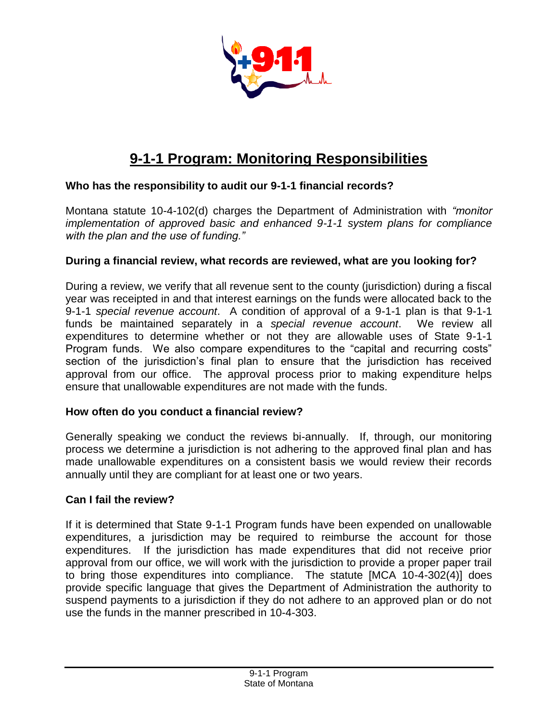

# **9-1-1 Program: Monitoring Responsibilities**

## **Who has the responsibility to audit our 9-1-1 financial records?**

Montana statute 10-4-102(d) charges the Department of Administration with *"monitor implementation of approved basic and enhanced 9-1-1 system plans for compliance with the plan and the use of funding."* 

## **During a financial review, what records are reviewed, what are you looking for?**

During a review, we verify that all revenue sent to the county (jurisdiction) during a fiscal year was receipted in and that interest earnings on the funds were allocated back to the 9-1-1 *special revenue account*. A condition of approval of a 9-1-1 plan is that 9-1-1 funds be maintained separately in a *special revenue account*. We review all expenditures to determine whether or not they are allowable uses of State 9-1-1 Program funds. We also compare expenditures to the "capital and recurring costs" section of the jurisdiction's final plan to ensure that the jurisdiction has received approval from our office. The approval process prior to making expenditure helps ensure that unallowable expenditures are not made with the funds.

### **How often do you conduct a financial review?**

Generally speaking we conduct the reviews bi-annually. If, through, our monitoring process we determine a jurisdiction is not adhering to the approved final plan and has made unallowable expenditures on a consistent basis we would review their records annually until they are compliant for at least one or two years.

### **Can I fail the review?**

If it is determined that State 9-1-1 Program funds have been expended on unallowable expenditures, a jurisdiction may be required to reimburse the account for those expenditures. If the jurisdiction has made expenditures that did not receive prior approval from our office, we will work with the jurisdiction to provide a proper paper trail to bring those expenditures into compliance. The statute [MCA 10-4-302(4)] does provide specific language that gives the Department of Administration the authority to suspend payments to a jurisdiction if they do not adhere to an approved plan or do not use the funds in the manner prescribed in 10-4-303.